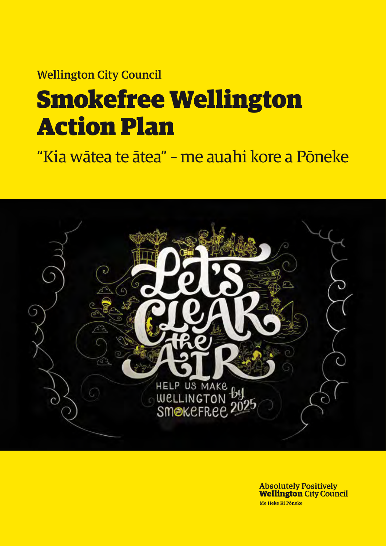# Wellington City Council Smokefree Wellington Action Plan

"Kia wātea te ātea" – me auahi kore a Pōneke



**Absolutely Positively Wellington City Council** Me Heke Ki Pôneke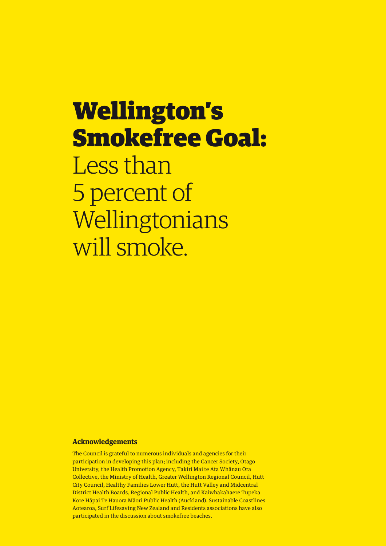# Wellington's Smokefree Goal: Less than 5 percent of Wellingtonians will smoke.

## **Acknowledgements**

The Council is grateful to numerous individuals and agencies for their participation in developing this plan; including the Cancer Society, Otago University, the Health Promotion Agency, Takiri Mai te Ata Whānau Ora Collective, the Ministry of Health, Greater Wellington Regional Council, Hutt City Council, Healthy Families Lower Hutt, the Hutt Valley and Midcentral District Health Boards, Regional Public Health, and Kaiwhakahaere Tupeka Kore Hāpai Te Hauora Māori Public Health (Auckland). Sustainable Coastlines Aotearoa, Surf Lifesaving New Zealand and Residents associations have also participated in the discussion about smokefree beaches.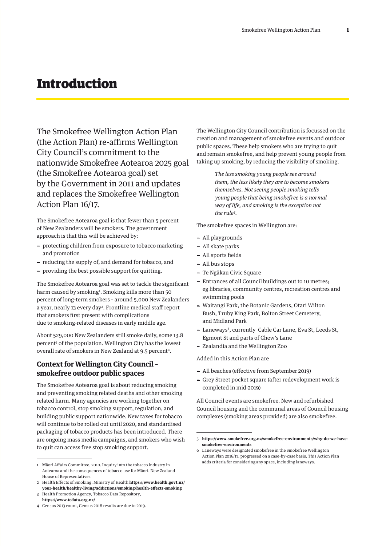# Introduction

The Smokefree Wellington Action Plan (the Action Plan) re-affirms Wellington City Council's commitment to the nationwide Smokefree Aotearoa 2025 goal (the Smokefree Aotearoa goal) set by the Government in 2011 and updates and replaces the Smokefree Wellington Action Plan 16/17.

The Smokefree Aotearoa goal is that fewer than 5 percent of New Zealanders will be smokers. The government approach is that this will be achieved by:

- − protecting children from exposure to tobacco marketing and promotion
- − reducing the supply of, and demand for tobacco, and
- − providing the best possible support for quitting.

The Smokefree Aotearoa goal was set to tackle the significant harm caused by smoking<sup>1</sup>. Smoking kills more than 50 percent of long-term smokers – around 5,000 New Zealanders a year, nearly 13 every day<sup>2</sup>. Frontline medical staff report that smokers first present with complications due to smoking-related diseases in early middle age.

About 529,000 New Zealanders still smoke daily, some 13.8 percent3 of the population. Wellington City has the lowest overall rate of smokers in New Zealand at 9.5 percent<sup>4</sup>.

# **Context for Wellington City Council – smokefree outdoor public spaces**

The Smokefree Aotearoa goal is about reducing smoking and preventing smoking related deaths and other smoking related harm. Many agencies are working together on tobacco control, stop smoking support, regulation, and building public support nationwide. New taxes for tobacco will continue to be rolled out until 2020, and standardised packaging of tobacco products has been introduced. There are ongoing mass media campaigns, and smokers who wish to quit can access free stop smoking support.

The Wellington City Council contribution is focussed on the creation and management of smokefree events and outdoor public spaces. These help smokers who are trying to quit and remain smokefree, and help prevent young people from taking up smoking, by reducing the visibility of smoking.

> *The less smoking young people see around them, the less likely they are to become smokers themselves. Not seeing people smoking tells young people that being smokefree is a normal way of life, and smoking is the exception not the rule5 .*

The smokefree spaces in Wellington are:

- − All playgrounds
- − All skate parks
- − All sports fields
- − All bus stops
- − Te Ngākau Civic Square
- − Entrances of all Council buildings out to 10 metres; eg libraries, community centres, recreation centres and swimming pools
- − Waitangi Park, the Botanic Gardens, Otari Wilton Bush, Truby King Park, Bolton Street Cemetery, and Midland Park
- − Laneways6, currently Cable Car Lane, Eva St, Leeds St, Egmont St and parts of Chew's Lane
- − Zealandia and the Wellington Zoo

#### Added in this Action Plan are

- − All beaches (effective from September 2019)
- − Grey Street pocket square (after redevelopment work is completed in mid-2019)

All Council events are smokefree. New and refurbished Council housing and the communal areas of Council housing complexes (smoking areas provided) are also smokefree.

<sup>1</sup> Māori Affairs Committee, 2010. Inquiry into the tobacco industry in Aotearoa and the consequences of tobacco use for Māori. New Zealand House of Representatives.

<sup>2</sup> Health Effects of Smoking. Ministry of Health **https:/**/**[www.health.govt.nz/](https://www.health.govt.nz/your-health/healthy-living/addictions/smoking/health-effects-smoking) [your-health/healthy-living/addictions/smoking/health-effects-smoking](https://www.health.govt.nz/your-health/healthy-living/addictions/smoking/health-effects-smoking)**

<sup>3</sup> Health Promotion Agency, Tobacco Data Repository, **<https://www.tcdata.org.nz/>**

<sup>4</sup> Census 2013 count, Census 2018 results are due in 2019.

<sup>5</sup> **https://www.smokefree.org.nz/smokefree-environments/why-do-we-havesmokefree-environments**

<sup>6</sup> Laneways were designated smokefree in the Smokefree Wellington Action Plan 2016/17, progressed on a case-by-case basis. This Action Plan adds criteria for considering any space, including laneways.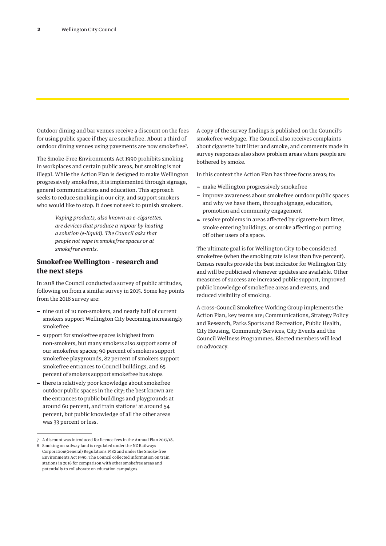Outdoor dining and bar venues receive a discount on the fees for using public space if they are smokefree. About a third of outdoor dining venues using pavements are now smokefree7 .

The Smoke-Free Environments Act 1990 prohibits smoking in workplaces and certain public areas, but smoking is not illegal. While the Action Plan is designed to make Wellington progressively smokefree, it is implemented through signage, general communications and education. This approach seeks to reduce smoking in our city, and support smokers who would like to stop. It does not seek to punish smokers.

> *Vaping products, also known as e-cigarettes, are devices that produce a vapour by heating a solution (e-liquid). The Council asks that people not vape in smokefree spaces or at smokefree events.*

# **Smokefree Wellington – research and the next steps**

In 2018 the Council conducted a survey of public attitudes, following on from a similar survey in 2015. Some key points from the 2018 survey are:

- − nine out of 10 non-smokers, and nearly half of current smokers support Wellington City becoming increasingly smokefree
- − support for smokefree spaces is highest from non-smokers, but many smokers also support some of our smokefree spaces; 90 percent of smokers support smokefree playgrounds, 82 percent of smokers support smokefree entrances to Council buildings, and 65 percent of smokers support smokefree bus stops
- − there is relatively poor knowledge about smokefree outdoor public spaces in the city; the best known are the entrances to public buildings and playgrounds at around 60 percent, and train stations<sup>8</sup> at around 54 percent, but public knowledge of all the other areas was 33 percent or less.

A copy of the survey findings is published on the Council's smokefree webpage. The Council also receives complaints about cigarette butt litter and smoke, and comments made in survey responses also show problem areas where people are bothered by smoke.

In this context the Action Plan has three focus areas; to:

- − make Wellington progressively smokefree
- − improve awareness about smokefree outdoor public spaces and why we have them, through signage, education, promotion and community engagement
- − resolve problems in areas affected by cigarette butt litter, smoke entering buildings, or smoke affecting or putting off other users of a space.

The ultimate goal is for Wellington City to be considered smokefree (when the smoking rate is less than five percent). Census results provide the best indicator for Wellington City and will be publicised whenever updates are available. Other measures of success are increased public support, improved public knowledge of smokefree areas and events, and reduced visibility of smoking.

A cross-Council Smokefree Working Group implements the Action Plan, key teams are; Communications, Strategy Policy and Research, Parks Sports and Recreation, Public Health, City Housing, Community Services, City Events and the Council Wellness Programmes. Elected members will lead on advocacy.

<sup>7</sup> A discount was introduced for licence fees in the Annual Plan 2017/18.

<sup>8</sup> Smoking on railway land is regulated under the NZ Railways Corporation(General) Regulations 1982 and under the Smoke-free Environments Act 1990. The Council collected information on train stations in 2018 for comparison with other smokefree areas and potentially to collaborate on education campaigns.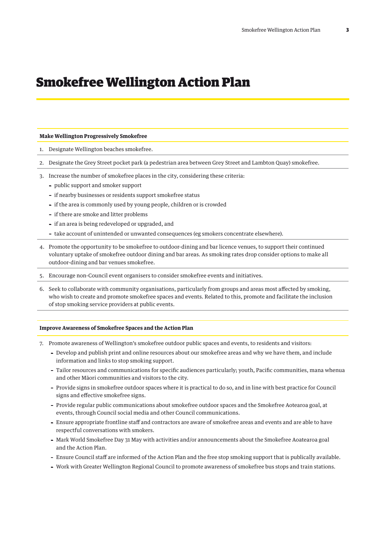# Smokefree Wellington Action Plan

#### **Make Wellington Progressively Smokefree**

- 1. Designate Wellington beaches smokefree.
- 2. Designate the Grey Street pocket park (a pedestrian area between Grey Street and Lambton Quay) smokefree.
- 3. Increase the number of smokefree places in the city, considering these criteria:
	- public support and smoker support
	- if nearby businesses or residents support smokefree status
	- if the area is commonly used by young people, children or is crowded
	- if there are smoke and litter problems
	- if an area is being redeveloped or upgraded, and
	- take account of unintended or unwanted consequences (eg smokers concentrate elsewhere).
- 4. Promote the opportunity to be smokefree to outdoor-dining and bar licence venues, to support their continued voluntary uptake of smokefree outdoor dining and bar areas. As smoking rates drop consider options to make all outdoor-dining and bar venues smokefree.
- 5. Encourage non-Council event organisers to consider smokefree events and initiatives.
- 6. Seek to collaborate with community organisations, particularly from groups and areas most affected by smoking, who wish to create and promote smokefree spaces and events. Related to this, promote and facilitate the inclusion of stop smoking service providers at public events.

#### **Improve Awareness of Smokefree Spaces and the Action Plan**

- 7. Promote awareness of Wellington's smokefree outdoor public spaces and events, to residents and visitors:
	- Develop and publish print and online resources about our smokefree areas and why we have them, and include information and links to stop smoking support.
	- Tailor resources and communications for specific audiences particularly; youth, Pacific communities, mana whenua and other Māori communities and visitors to the city.
	- Provide signs in smokefree outdoor spaces where it is practical to do so, and in line with best practice for Council signs and effective smokefree signs.
	- Provide regular public communications about smokefree outdoor spaces and the Smokefree Aotearoa goal, at events, through Council social media and other Council communications.
	- Ensure appropriate frontline staff and contractors are aware of smokefree areas and events and are able to have respectful conversations with smokers.
	- Mark World Smokefree Day 31 May with activities and/or announcements about the Smokefree Aoatearoa goal and the Action Plan.
	- Ensure Council staff are informed of the Action Plan and the free stop smoking support that is publically available.
	- Work with Greater Wellington Regional Council to promote awareness of smokefree bus stops and train stations.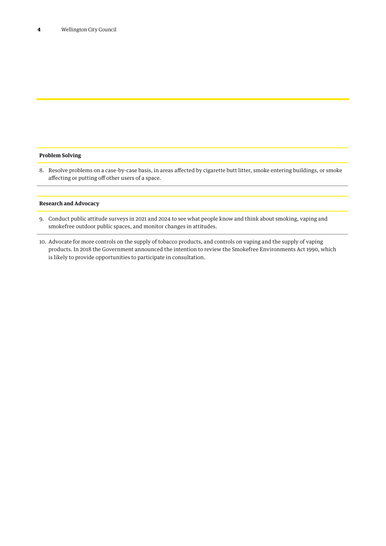### **Problem Solving**

8. Resolve problems on a case-by-case basis, in areas affected by cigarette butt litter, smoke entering buildings, or smoke affecting or putting off other users of a space.

#### **Research and Advocacy**

- 9. Conduct public attitude surveys in 2021 and 2024 to see what people know and think about smoking, vaping and smokefree outdoor public spaces, and monitor changes in attitudes.
- 10. Advocate for more controls on the supply of tobacco products, and controls on vaping and the supply of vaping products. In 2018 the Government announced the intention to review the Smokefree Environments Act 1990, which is likely to provide opportunities to participate in consultation.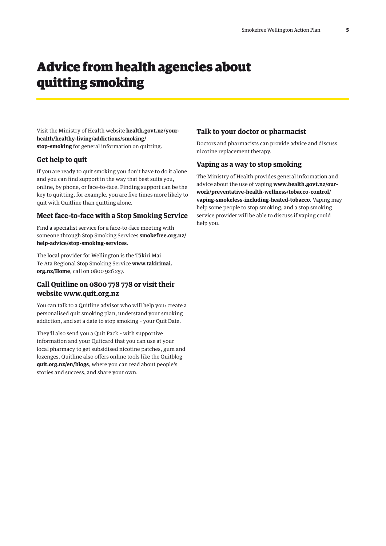# Advice from health agencies about quitting smoking

Visit the Ministry of Health website **[health.govt.nz/your](http://www.health.govt.nz/your-health/healthy-living/addictions/smoking/stop-smoking )[health/healthy-living/addictions/smoking/](http://www.health.govt.nz/your-health/healthy-living/addictions/smoking/stop-smoking ) [stop-smoking](http://www.health.govt.nz/your-health/healthy-living/addictions/smoking/stop-smoking )** for general information on quitting.

# **Get help to quit**

If you are ready to quit smoking you don't have to do it alone and you can find support in the way that best suits you, online, by phone, or face-to-face. Finding support can be the key to quitting, for example, you are five times more likely to quit with Quitline than quitting alone.

## **Meet face-to-face with a Stop Smoking Service**

Find a specialist service for a face-to-face meeting with someone through [Stop Smoking Services](https://www.smokefree.org.nz/help-advice/stop-smoking-services) **[smokefree.org.nz/](https://www.smokefree.org.nz/help-advice/stop-smoking-services) [help-advice/stop-smoking-services](https://www.smokefree.org.nz/help-advice/stop-smoking-services)**.

The local provider for Wellington is the [Tākiri Mai](http://www.takirimai.org.nz/Home)  [Te Ata Regional Stop Smoking Service](http://www.takirimai.org.nz/Home) **www.takirimai. org.nz/Home**, call on 0800 926 257.

# **Call Quitline on 0800 778 778 or visit their website [www.quit.org.nz](http://www.quit.org.nz)**

You can talk to a Quitline advisor who will help you: create a personalised quit smoking plan, understand your smoking addiction, and set a date to stop smoking – your Quit Date.

They'll also send you a Quit Pack – with supportive information and your Quitcard that you can use at your local pharmacy to get subsidised nicotine patches, gum and lozenges. Quitline also offers online tools like the [Quitblog](https://quit.org.nz/en/blogs) **quit.org.nz/en/blogs**, where you can read about people's stories and success, and share your own.

# **Talk to your doctor or pharmacist**

Doctors and pharmacists can provide advice and discuss nicotine replacement therapy.

## **Vaping as a way to stop smoking**

The Ministry of Health provides general information and advice about the use of vaping **[www.health.govt.nz/our](https://www.health.govt.nz/our-work/preventative-health-wellness/tobacco-control/vaping-smokeless-including-heated-tobacco.%20)[work/preventative-health-wellness/tobacco-control/](https://www.health.govt.nz/our-work/preventative-health-wellness/tobacco-control/vaping-smokeless-including-heated-tobacco.%20) [vaping-smokeless-including-heated-tobacco](https://www.health.govt.nz/our-work/preventative-health-wellness/tobacco-control/vaping-smokeless-including-heated-tobacco.%20)**. Vaping may help some people to stop smoking, and a stop smoking service provider will be able to discuss if vaping could help you.